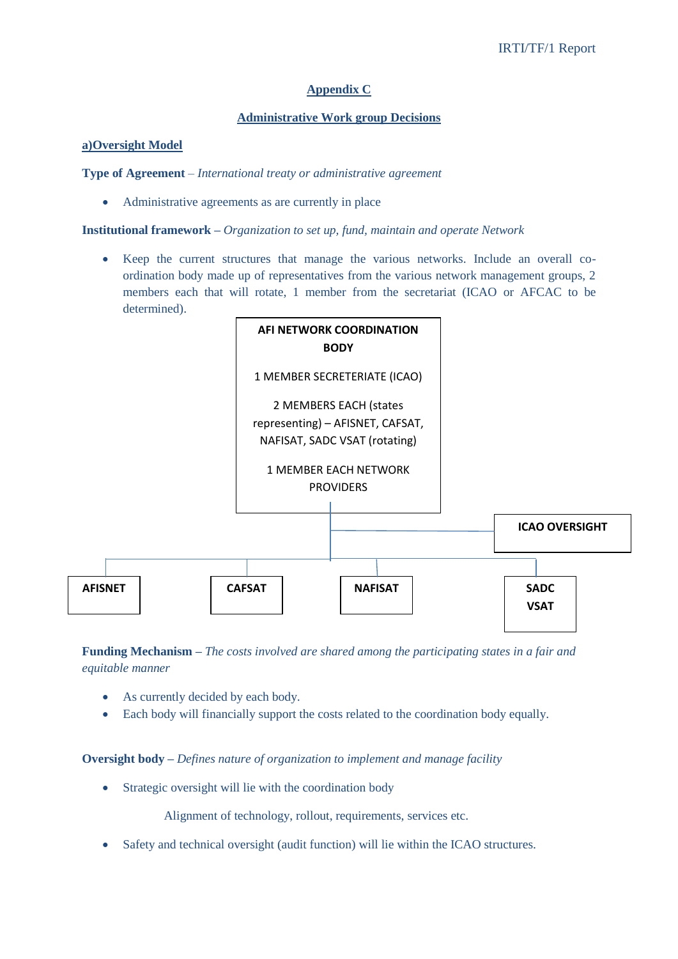# **Appendix C**

### **Administrative Work group Decisions**

#### **a)Oversight Model**

**Type of Agreement** – *International treaty or administrative agreement*

Administrative agreements as are currently in place

**Institutional framework –** *Organization to set up, fund, maintain and operate Network*

 Keep the current structures that manage the various networks. Include an overall coordination body made up of representatives from the various network management groups, 2 members each that will rotate, 1 member from the secretariat (ICAO or AFCAC to be determined).



**Funding Mechanism –** *The costs involved are shared among the participating states in a fair and equitable manner*

- As currently decided by each body.
- Each body will financially support the costs related to the coordination body equally.

**Oversight body –** *Defines nature of organization to implement and manage facility*

• Strategic oversight will lie with the coordination body

Alignment of technology, rollout, requirements, services etc.

Safety and technical oversight (audit function) will lie within the ICAO structures.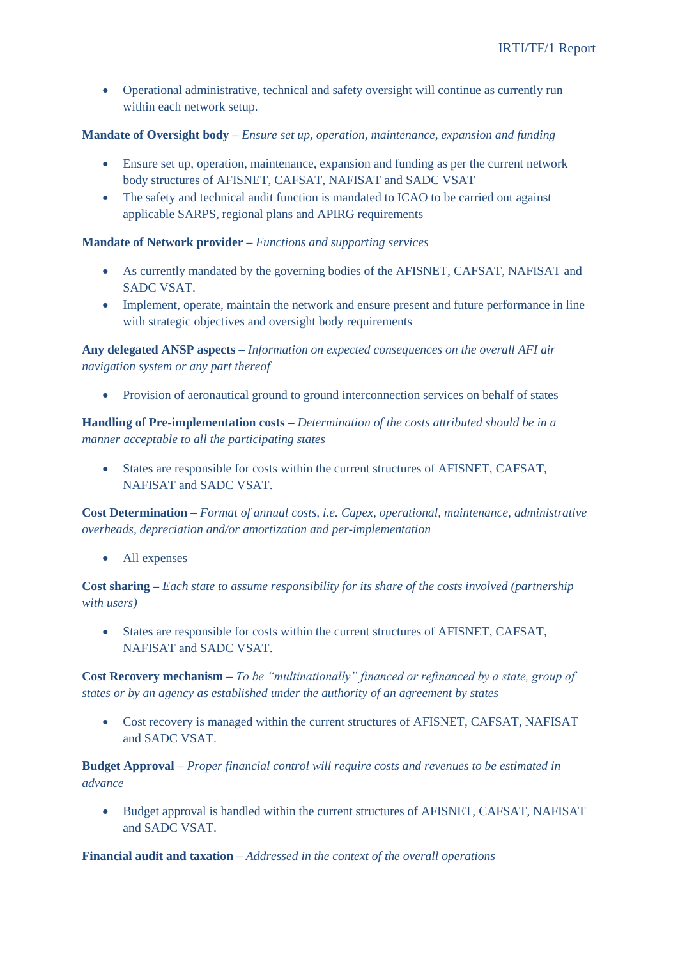Operational administrative, technical and safety oversight will continue as currently run within each network setup.

## **Mandate of Oversight body –** *Ensure set up, operation, maintenance, expansion and funding*

- Ensure set up, operation, maintenance, expansion and funding as per the current network body structures of AFISNET, CAFSAT, NAFISAT and SADC VSAT
- The safety and technical audit function is mandated to ICAO to be carried out against applicable SARPS, regional plans and APIRG requirements

**Mandate of Network provider –** *Functions and supporting services*

- As currently mandated by the governing bodies of the AFISNET, CAFSAT, NAFISAT and SADC VSAT.
- Implement, operate, maintain the network and ensure present and future performance in line with strategic objectives and oversight body requirements

**Any delegated ANSP aspects –** *Information on expected consequences on the overall AFI air navigation system or any part thereof*

Provision of aeronautical ground to ground interconnection services on behalf of states

**Handling of Pre-implementation costs –** *Determination of the costs attributed should be in a manner acceptable to all the participating states*

 States are responsible for costs within the current structures of AFISNET, CAFSAT, NAFISAT and SADC VSAT.

**Cost Determination –** *Format of annual costs, i.e. Capex, operational, maintenance, administrative overheads, depreciation and/or amortization and per-implementation*

• All expenses

**Cost sharing –** *Each state to assume responsibility for its share of the costs involved (partnership with users)*

 States are responsible for costs within the current structures of AFISNET, CAFSAT, NAFISAT and SADC VSAT.

**Cost Recovery mechanism –** *To be "multinationally" financed or refinanced by a state, group of states or by an agency as established under the authority of an agreement by states*

 Cost recovery is managed within the current structures of AFISNET, CAFSAT, NAFISAT and SADC VSAT.

**Budget Approval –** *Proper financial control will require costs and revenues to be estimated in advance*

 Budget approval is handled within the current structures of AFISNET, CAFSAT, NAFISAT and SADC VSAT.

**Financial audit and taxation –** *Addressed in the context of the overall operations*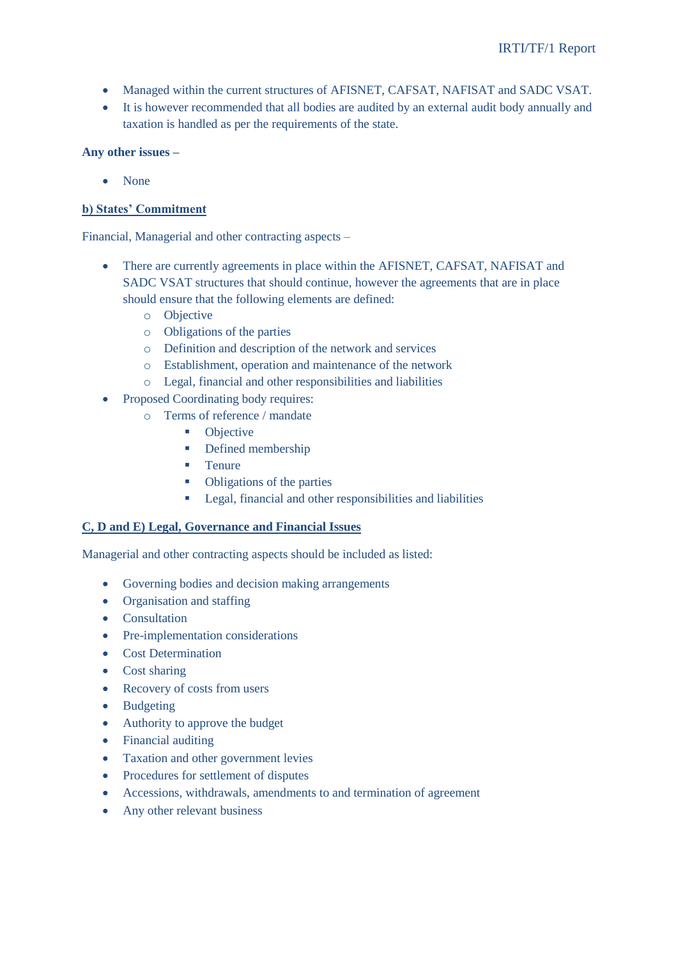- Managed within the current structures of AFISNET, CAFSAT, NAFISAT and SADC VSAT.
- It is however recommended that all bodies are audited by an external audit body annually and taxation is handled as per the requirements of the state.

## **Any other issues –**

• None

# **b) States' Commitment**

Financial, Managerial and other contracting aspects –

- There are currently agreements in place within the AFISNET, CAFSAT, NAFISAT and SADC VSAT structures that should continue, however the agreements that are in place should ensure that the following elements are defined:
	- o Objective
	- o Obligations of the parties
	- o Definition and description of the network and services
	- o Establishment, operation and maintenance of the network
	- o Legal, financial and other responsibilities and liabilities
- Proposed Coordinating body requires:
	- o Terms of reference / mandate
		- Objective
		- Defined membership
		- **Tenure**
		- Obligations of the parties
		- **Legal, financial and other responsibilities and liabilities**

### **C, D and E) Legal, Governance and Financial Issues**

Managerial and other contracting aspects should be included as listed:

- Governing bodies and decision making arrangements
- Organisation and staffing
- Consultation
- Pre-implementation considerations
- Cost Determination
- Cost sharing
- Recovery of costs from users
- Budgeting
- Authority to approve the budget
- Financial auditing
- Taxation and other government levies
- Procedures for settlement of disputes
- Accessions, withdrawals, amendments to and termination of agreement
- Any other relevant business